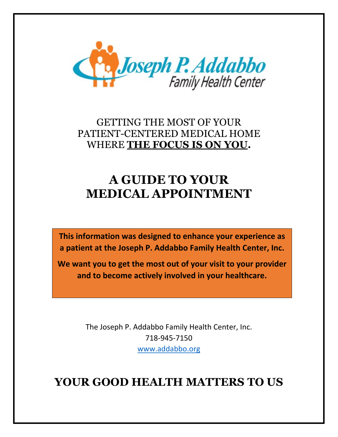

### GETTING THE MOST OF YOUR PATIENT-CENTERED MEDICAL HOME WHERE **THE FOCUS IS ON YOU.**

# **A GUIDE TO YOUR MEDICAL APPOINTMENT**

**This information was designed to enhance your experience as a patient at the Joseph P. Addabbo Family Health Center, Inc.**

**We want you to get the most out of your visit to your provider and to become actively involved in your healthcare.**

> The Joseph P. Addabbo Family Health Center, Inc. 718-945-7150 [www.addabbo.org](http://www.addabbo.org/)

## **YOUR GOOD HEALTH MATTERS TO US**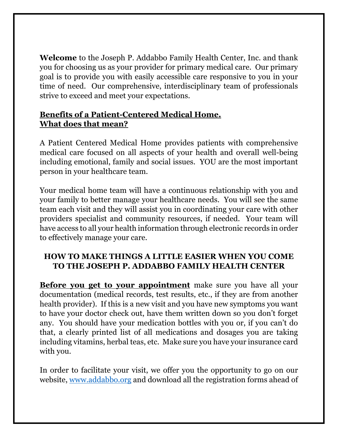**Welcome** to the Joseph P. Addabbo Family Health Center, Inc. and thank you for choosing us as your provider for primary medical care. Our primary goal is to provide you with easily accessible care responsive to you in your time of need. Our comprehensive, interdisciplinary team of professionals strive to exceed and meet your expectations.

#### **Benefits of a Patient-Centered Medical Home. What does that mean?**

A Patient Centered Medical Home provides patients with comprehensive medical care focused on all aspects of your health and overall well-being including emotional, family and social issues. YOU are the most important person in your healthcare team.

Your medical home team will have a continuous relationship with you and your family to better manage your healthcare needs. You will see the same team each visit and they will assist you in coordinating your care with other providers specialist and community resources, if needed. Your team will have access to all your health information through electronic records in order to effectively manage your care.

#### **HOW TO MAKE THINGS A LITTLE EASIER WHEN YOU COME TO THE JOSEPH P. ADDABBO FAMILY HEALTH CENTER**

**Before you get to your appointment** make sure you have all your documentation (medical records, test results, etc., if they are from another health provider). If this is a new visit and you have new symptoms you want to have your doctor check out, have them written down so you don't forget any. You should have your medication bottles with you or, if you can't do that, a clearly printed list of all medications and dosages you are taking including vitamins, herbal teas, etc. Make sure you have your insurance card with you.

In order to facilitate your visit, we offer you the opportunity to go on our website, [www.addabbo.org](http://www.addabbo.org/) and download all the registration forms ahead of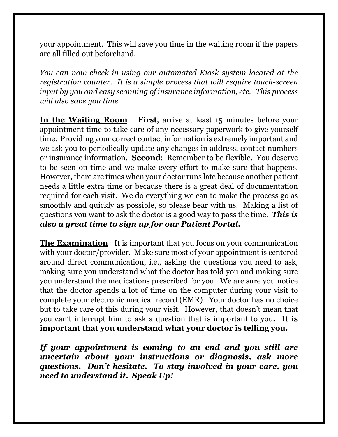your appointment. This will save you time in the waiting room if the papers are all filled out beforehand.

*You can now check in using our automated Kiosk system located at the registration counter. It is a simple process that will require touch-screen input by you and easy scanning of insurance information, etc. This process will also save you time.*

**In the Waiting Room First**, arrive at least 15 minutes before your appointment time to take care of any necessary paperwork to give yourself time. Providing your correct contact information is extremely important and we ask you to periodically update any changes in address, contact numbers or insurance information. **Second**: Remember to be flexible. You deserve to be seen on time and we make every effort to make sure that happens. However, there are times when your doctor runs late because another patient needs a little extra time or because there is a great deal of documentation required for each visit. We do everything we can to make the process go as smoothly and quickly as possible, so please bear with us. Making a list of questions you want to ask the doctor is a good way to pass the time. *This is also a great time to sign up for our Patient Portal.*

**The Examination** It is important that you focus on your communication with your doctor/provider. Make sure most of your appointment is centered around direct communication, i.e., asking the questions you need to ask, making sure you understand what the doctor has told you and making sure you understand the medications prescribed for you. We are sure you notice that the doctor spends a lot of time on the computer during your visit to complete your electronic medical record (EMR). Your doctor has no choice but to take care of this during your visit. However, that doesn't mean that you can't interrupt him to ask a question that is important to you**. It is important that you understand what your doctor is telling you.** 

*If your appointment is coming to an end and you still are uncertain about your instructions or diagnosis, ask more questions. Don't hesitate. To stay involved in your care, you need to understand it. Speak Up!*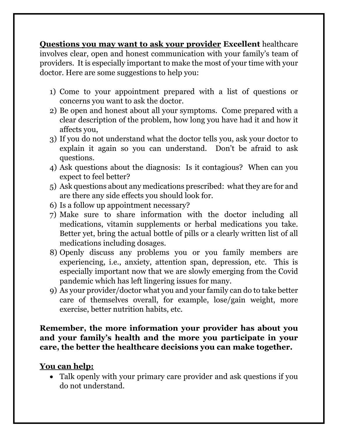**Questions you may want to ask your provider Excellent** healthcare involves clear, open and honest communication with your family's team of providers. It is especially important to make the most of your time with your doctor. Here are some suggestions to help you:

- 1) Come to your appointment prepared with a list of questions or concerns you want to ask the doctor.
- 2) Be open and honest about all your symptoms. Come prepared with a clear description of the problem, how long you have had it and how it affects you,
- 3) If you do not understand what the doctor tells you, ask your doctor to explain it again so you can understand. Don't be afraid to ask questions.
- 4) Ask questions about the diagnosis: Is it contagious? When can you expect to feel better?
- 5) Ask questions about any medications prescribed: what they are for and are there any side effects you should look for.
- 6) Is a follow up appointment necessary?
- 7) Make sure to share information with the doctor including all medications, vitamin supplements or herbal medications you take. Better yet, bring the actual bottle of pills or a clearly written list of all medications including dosages.
- 8) Openly discuss any problems you or you family members are experiencing, i.e., anxiety, attention span, depression, etc. This is especially important now that we are slowly emerging from the Covid pandemic which has left lingering issues for many.
- 9) As your provider/doctor what you and your family can do to take better care of themselves overall, for example, lose/gain weight, more exercise, better nutrition habits, etc.

#### **Remember, the more information your provider has about you and your family's health and the more you participate in your care, the better the healthcare decisions you can make together.**

#### **You can help:**

• Talk openly with your primary care provider and ask questions if you do not understand.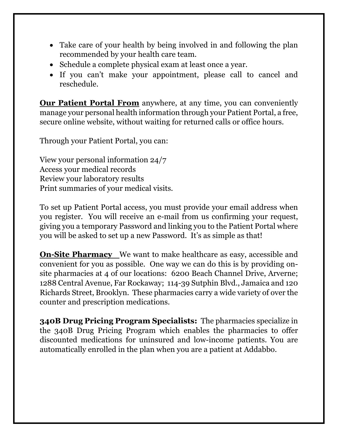- Take care of your health by being involved in and following the plan recommended by your health care team.
- Schedule a complete physical exam at least once a year.
- If you can't make your appointment, please call to cancel and reschedule.

**Our Patient Portal From** anywhere, at any time, you can conveniently manage your personal health information through your Patient Portal, a free, secure online website, without waiting for returned calls or office hours.

Through your Patient Portal, you can:

View your personal information 24/7 Access your medical records Review your laboratory results Print summaries of your medical visits.

To set up Patient Portal access, you must provide your email address when you register. You will receive an e-mail from us confirming your request, giving you a temporary Password and linking you to the Patient Portal where you will be asked to set up a new Password. It's as simple as that!

**On-Site Pharmacy** We want to make healthcare as easy, accessible and convenient for you as possible. One way we can do this is by providing onsite pharmacies at 4 of our locations: 6200 Beach Channel Drive, Arverne; 1288 Central Avenue, Far Rockaway; 114-39 Sutphin Blvd., Jamaica and 120 Richards Street, Brooklyn. These pharmacies carry a wide variety of over the counter and prescription medications.

**340B Drug Pricing Program Specialists:** The pharmacies specialize in the 340B Drug Pricing Program which enables the pharmacies to offer discounted medications for uninsured and low-income patients. You are automatically enrolled in the plan when you are a patient at Addabbo.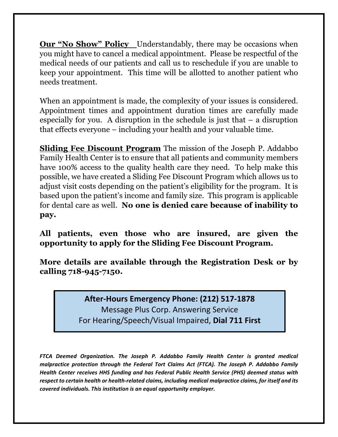**Our "No Show" Policy** Understandably, there may be occasions when you might have to cancel a medical appointment. Please be respectful of the medical needs of our patients and call us to reschedule if you are unable to keep your appointment. This time will be allotted to another patient who needs treatment.

When an appointment is made, the complexity of your issues is considered. Appointment times and appointment duration times are carefully made especially for you. A disruption in the schedule is just that – a disruption that effects everyone – including your health and your valuable time.

**Sliding Fee Discount Program** The mission of the Joseph P. Addabbo Family Health Center is to ensure that all patients and community members have 100% access to the quality health care they need. To help make this possible, we have created a Sliding Fee Discount Program which allows us to adjust visit costs depending on the patient's eligibility for the program. It is based upon the patient's income and family size. This program is applicable for dental care as well. **No one is denied care because of inability to pay.**

**All patients, even those who are insured, are given the opportunity to apply for the Sliding Fee Discount Program.**

**More details are available through the Registration Desk or by calling 718-945-7150.**

#### **After-Hours Emergency Phone: (212) 517-1878** Message Plus Corp. Answering Service For Hearing/Speech/Visual Impaired, **Dial 711 First**

*FTCA Deemed Organization. The Joseph P. Addabbo Family Health Center is granted medical malpractice protection through the Federal Tort Claims Act (FTCA). The Joseph P. Addabbo Family Health Center receives HHS funding and has Federal Public Health Service (PHS) deemed status with respect to certain health or health-related claims, including medical malpractice claims, for itself and its covered individuals. This institution is an equal opportunity employer.*